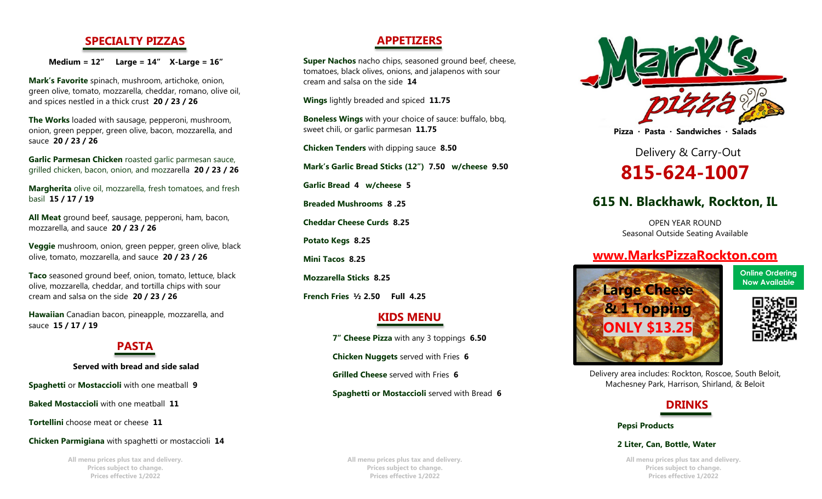## **SPECIALTY PIZZAS**

**Medium = 12" Large = 14" X-Large = 16"**

**Mark's Favorite** spinach, mushroom, artichoke, onion, green olive, tomato, mozzarella, cheddar, romano, olive oil, and spices nestled in a thick crust **20 / 23 / 26**

**The Works** loaded with sausage, pepperoni, mushroom, onion, green pepper, green olive, bacon, mozzarella, and sauce **20 / 23 / 26**

**Garlic Parmesan Chicken** roasted garlic parmesan sauce, grilled chicken, bacon, onion, and mozzarella **20 / 23 / 26**

**Margherita** olive oil, mozzarella, fresh tomatoes, and fresh basil **15 / 17 / 19**

**All Meat** ground beef, sausage, pepperoni, ham, bacon, mozzarella, and sauce **20 / 23 / 26**

**Veggie** mushroom, onion, green pepper, green olive, black olive, tomato, mozzarella, and sauce **20 / 23 / 26**

**Taco** seasoned ground beef, onion, tomato, lettuce, black olive, mozzarella, cheddar, and tortilla chips with sour cream and salsa on the side **20 / 23 / 26**

**Hawaiian** Canadian bacon, pineapple, mozzarella, and sauce **15 / 17 / 19**

# **PASTA**

**Served with bread and side salad**

**Spaghetti** or **Mostaccioli** with one meatball **9**

**Baked Mostaccioli** with one meatball **11**

**Tortellini** choose meat or cheese **11**

**Chicken Parmigiana** with spaghetti or mostaccioli **14**

**All menu prices plus tax and delivery. Prices subject to change. Prices effective 1/2022**

## **APPETIZERS**

**Super Nachos** nacho chips, seasoned ground beef, cheese, tomatoes, black olives, onions, and jalapenos with sour cream and salsa on the side **14**

**Wings** lightly breaded and spiced **11.75**

**Boneless Wings** with your choice of sauce: buffalo, bbq, sweet chili, or garlic parmesan **11.75**

**Chicken Tenders** with dipping sauce **8.50**

**Mark's Garlic Bread Sticks (12") 7.50 w/cheese 9.50**

**Garlic Bread 4 w/cheese 5**

**Breaded Mushrooms 8 .25** 

**Cheddar Cheese Curds 8.25**

**Potato Kegs 8.25**

**Mini Tacos 8.25** 

**Mozzarella Sticks 8.25**

**French Fries ½ 2.50 Full 4.25**

## **KIDS MENU**

**7" Cheese Pizza** with any 3 toppings **6.50 Chicken Nuggets** served with Fries **6 Grilled Cheese** served with Fries **6 Spaghetti or Mostaccioli** served with Bread **6**

**All menu prices plus tax and delivery. Prices subject to change. Prices effective 1/2022**



**Pizza · Pasta · Sandwiches · Salads**

Delivery & Carry-Out **815-624-1007**

# **615 N. Blackhawk, Rockton, IL**

OPEN YEAR ROUND Seasonal Outside Seating Available

# **[www.MarksPizzaRockton.com](http://www.markspizzarockton.com/)**



**Online Ordering**



Delivery area includes: Rockton, Roscoe, South Beloit, Machesney Park, Harrison, Shirland, & Beloit

# **DRINKS**

 **Pepsi Products**

#### **2 Liter, Can, Bottle, Water**

**All menu prices plus tax and delivery. Prices subject to change. Prices effective 1/2022**